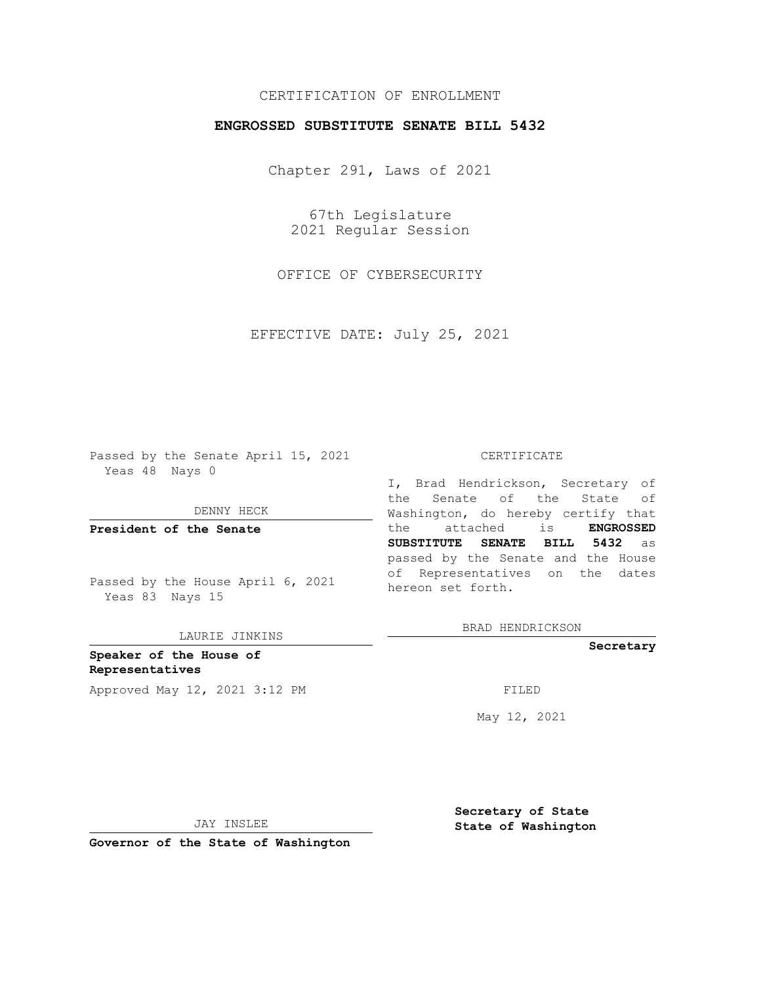# CERTIFICATION OF ENROLLMENT

## **ENGROSSED SUBSTITUTE SENATE BILL 5432**

Chapter 291, Laws of 2021

67th Legislature 2021 Regular Session

OFFICE OF CYBERSECURITY

EFFECTIVE DATE: July 25, 2021

Passed by the Senate April 15, 2021 Yeas 48 Nays 0

DENNY HECK

**President of the Senate**

Passed by the House April 6, 2021 Yeas 83 Nays 15

LAURIE JINKINS

**Speaker of the House of Representatives** Approved May 12, 2021 3:12 PM FILED

#### CERTIFICATE

I, Brad Hendrickson, Secretary of the Senate of the State of Washington, do hereby certify that the attached is **ENGROSSED SUBSTITUTE SENATE BILL 5432** as passed by the Senate and the House of Representatives on the dates hereon set forth.

BRAD HENDRICKSON

**Secretary**

May 12, 2021

JAY INSLEE

**Secretary of State State of Washington**

**Governor of the State of Washington**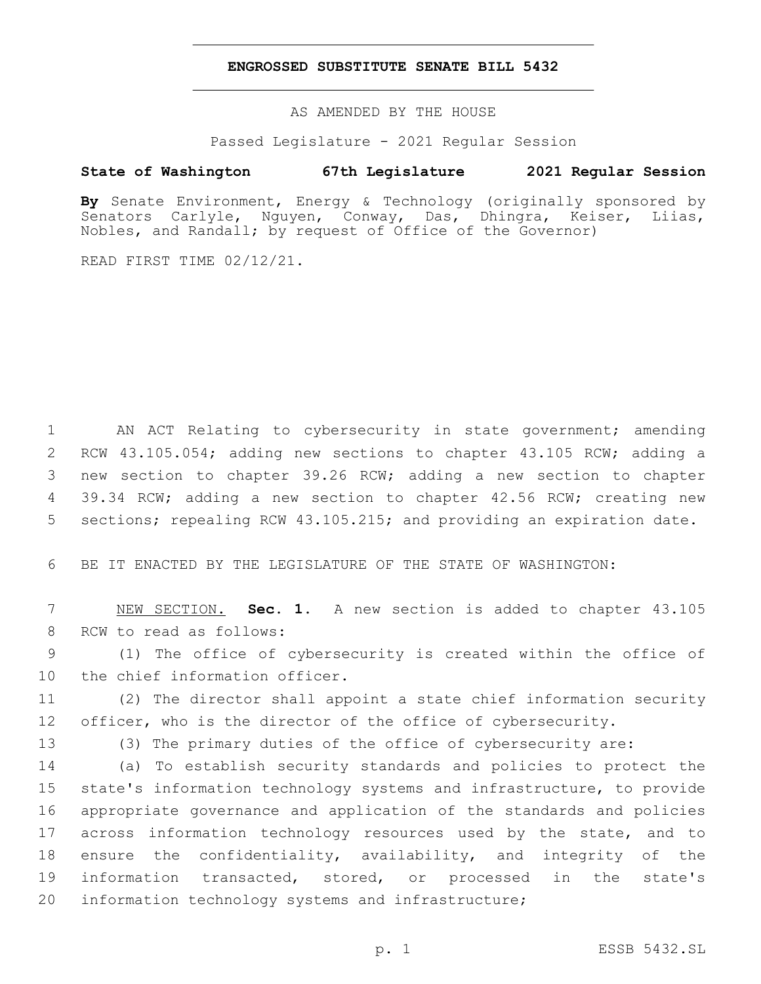### **ENGROSSED SUBSTITUTE SENATE BILL 5432**

AS AMENDED BY THE HOUSE

Passed Legislature - 2021 Regular Session

## **State of Washington 67th Legislature 2021 Regular Session**

**By** Senate Environment, Energy & Technology (originally sponsored by Senators Carlyle, Nguyen, Conway, Das, Dhingra, Keiser, Liias, Nobles, and Randall; by request of Office of the Governor)

READ FIRST TIME 02/12/21.

 AN ACT Relating to cybersecurity in state government; amending RCW 43.105.054; adding new sections to chapter 43.105 RCW; adding a new section to chapter 39.26 RCW; adding a new section to chapter 39.34 RCW; adding a new section to chapter 42.56 RCW; creating new sections; repealing RCW 43.105.215; and providing an expiration date.

6 BE IT ENACTED BY THE LEGISLATURE OF THE STATE OF WASHINGTON:

7 NEW SECTION. **Sec. 1.** A new section is added to chapter 43.105 8 RCW to read as follows:

9 (1) The office of cybersecurity is created within the office of 10 the chief information officer.

11 (2) The director shall appoint a state chief information security 12 officer, who is the director of the office of cybersecurity.

13 (3) The primary duties of the office of cybersecurity are:

 (a) To establish security standards and policies to protect the state's information technology systems and infrastructure, to provide appropriate governance and application of the standards and policies 17 across information technology resources used by the state, and to ensure the confidentiality, availability, and integrity of the information transacted, stored, or processed in the state's information technology systems and infrastructure;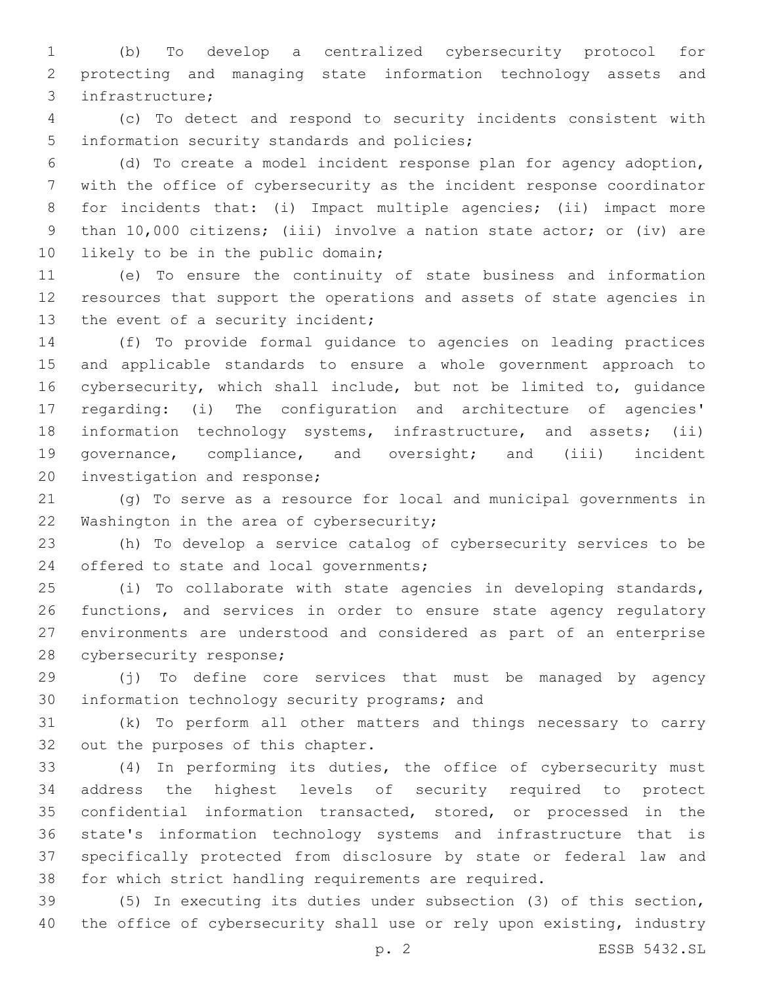(b) To develop a centralized cybersecurity protocol for protecting and managing state information technology assets and infrastructure;3

 (c) To detect and respond to security incidents consistent with 5 information security standards and policies;

 (d) To create a model incident response plan for agency adoption, with the office of cybersecurity as the incident response coordinator 8 for incidents that: (i) Impact multiple agencies; (ii) impact more than 10,000 citizens; (iii) involve a nation state actor; or (iv) are 10 likely to be in the public domain;

 (e) To ensure the continuity of state business and information resources that support the operations and assets of state agencies in 13 the event of a security incident;

 (f) To provide formal guidance to agencies on leading practices and applicable standards to ensure a whole government approach to cybersecurity, which shall include, but not be limited to, guidance regarding: (i) The configuration and architecture of agencies' information technology systems, infrastructure, and assets; (ii) governance, compliance, and oversight; and (iii) incident 20 investigation and response;

 (g) To serve as a resource for local and municipal governments in 22 Washington in the area of cybersecurity;

 (h) To develop a service catalog of cybersecurity services to be 24 offered to state and local governments;

 (i) To collaborate with state agencies in developing standards, functions, and services in order to ensure state agency regulatory environments are understood and considered as part of an enterprise 28 cybersecurity response;

 (j) To define core services that must be managed by agency 30 information technology security programs; and

 (k) To perform all other matters and things necessary to carry 32 out the purposes of this chapter.

 (4) In performing its duties, the office of cybersecurity must address the highest levels of security required to protect confidential information transacted, stored, or processed in the state's information technology systems and infrastructure that is specifically protected from disclosure by state or federal law and for which strict handling requirements are required.

 (5) In executing its duties under subsection (3) of this section, 40 the office of cybersecurity shall use or rely upon existing, industry

p. 2 ESSB 5432.SL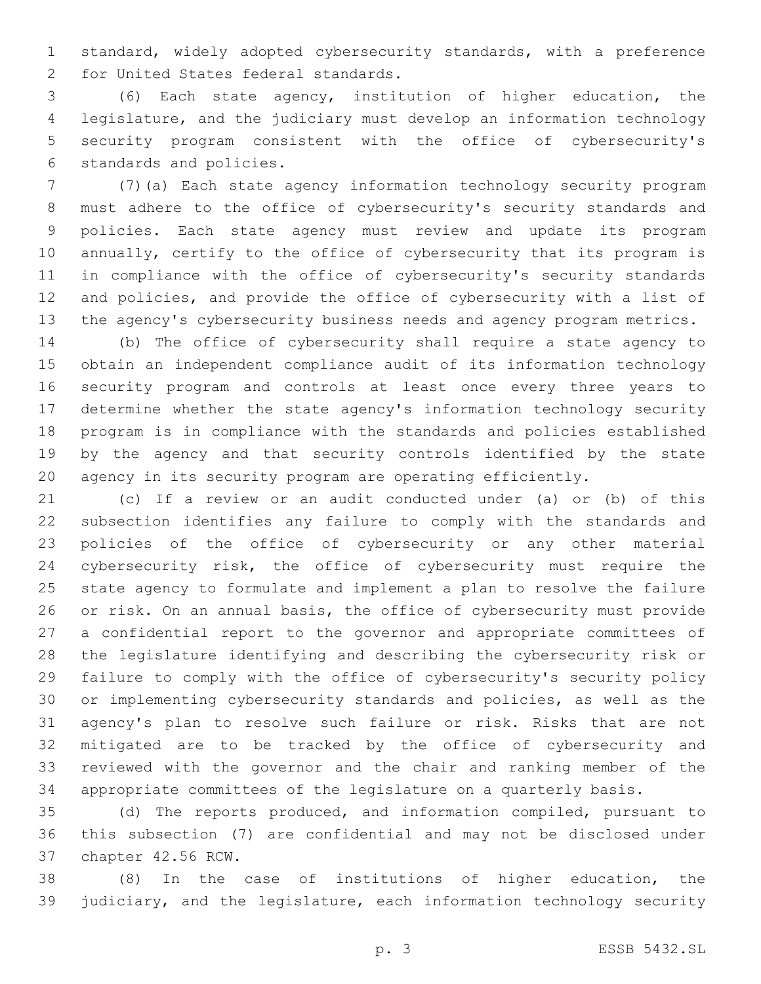standard, widely adopted cybersecurity standards, with a preference 2 for United States federal standards.

 (6) Each state agency, institution of higher education, the legislature, and the judiciary must develop an information technology security program consistent with the office of cybersecurity's 6 standards and policies.

 (7)(a) Each state agency information technology security program must adhere to the office of cybersecurity's security standards and policies. Each state agency must review and update its program annually, certify to the office of cybersecurity that its program is in compliance with the office of cybersecurity's security standards and policies, and provide the office of cybersecurity with a list of the agency's cybersecurity business needs and agency program metrics.

 (b) The office of cybersecurity shall require a state agency to obtain an independent compliance audit of its information technology security program and controls at least once every three years to determine whether the state agency's information technology security program is in compliance with the standards and policies established by the agency and that security controls identified by the state agency in its security program are operating efficiently.

 (c) If a review or an audit conducted under (a) or (b) of this subsection identifies any failure to comply with the standards and policies of the office of cybersecurity or any other material cybersecurity risk, the office of cybersecurity must require the state agency to formulate and implement a plan to resolve the failure or risk. On an annual basis, the office of cybersecurity must provide a confidential report to the governor and appropriate committees of the legislature identifying and describing the cybersecurity risk or failure to comply with the office of cybersecurity's security policy or implementing cybersecurity standards and policies, as well as the agency's plan to resolve such failure or risk. Risks that are not mitigated are to be tracked by the office of cybersecurity and reviewed with the governor and the chair and ranking member of the appropriate committees of the legislature on a quarterly basis.

 (d) The reports produced, and information compiled, pursuant to this subsection (7) are confidential and may not be disclosed under 37 chapter 42.56 RCW.

 (8) In the case of institutions of higher education, the judiciary, and the legislature, each information technology security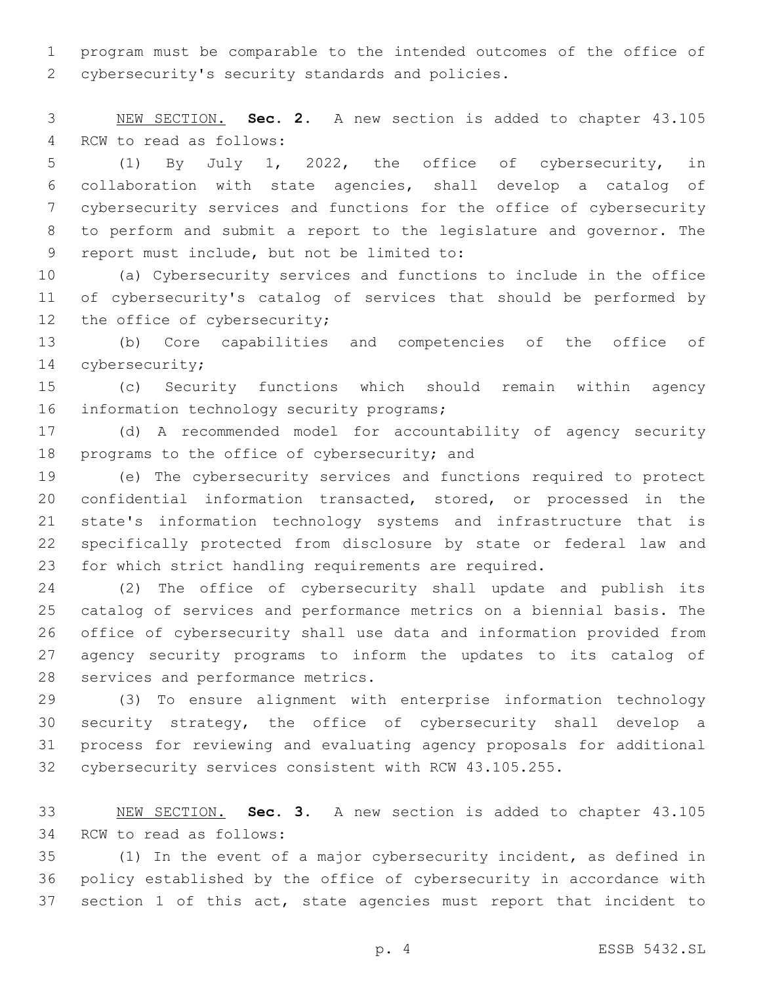program must be comparable to the intended outcomes of the office of 2 cybersecurity's security standards and policies.

 NEW SECTION. **Sec. 2.** A new section is added to chapter 43.105 4 RCW to read as follows:

 (1) By July 1, 2022, the office of cybersecurity, in collaboration with state agencies, shall develop a catalog of cybersecurity services and functions for the office of cybersecurity to perform and submit a report to the legislature and governor. The 9 report must include, but not be limited to:

 (a) Cybersecurity services and functions to include in the office of cybersecurity's catalog of services that should be performed by 12 the office of cybersecurity;

 (b) Core capabilities and competencies of the office of 14 cybersecurity;

 (c) Security functions which should remain within agency 16 information technology security programs;

 (d) A recommended model for accountability of agency security 18 programs to the office of cybersecurity; and

 (e) The cybersecurity services and functions required to protect confidential information transacted, stored, or processed in the state's information technology systems and infrastructure that is specifically protected from disclosure by state or federal law and for which strict handling requirements are required.

 (2) The office of cybersecurity shall update and publish its catalog of services and performance metrics on a biennial basis. The office of cybersecurity shall use data and information provided from agency security programs to inform the updates to its catalog of 28 services and performance metrics.

 (3) To ensure alignment with enterprise information technology security strategy, the office of cybersecurity shall develop a process for reviewing and evaluating agency proposals for additional cybersecurity services consistent with RCW 43.105.255.

 NEW SECTION. **Sec. 3.** A new section is added to chapter 43.105 34 RCW to read as follows:

 (1) In the event of a major cybersecurity incident, as defined in policy established by the office of cybersecurity in accordance with section 1 of this act, state agencies must report that incident to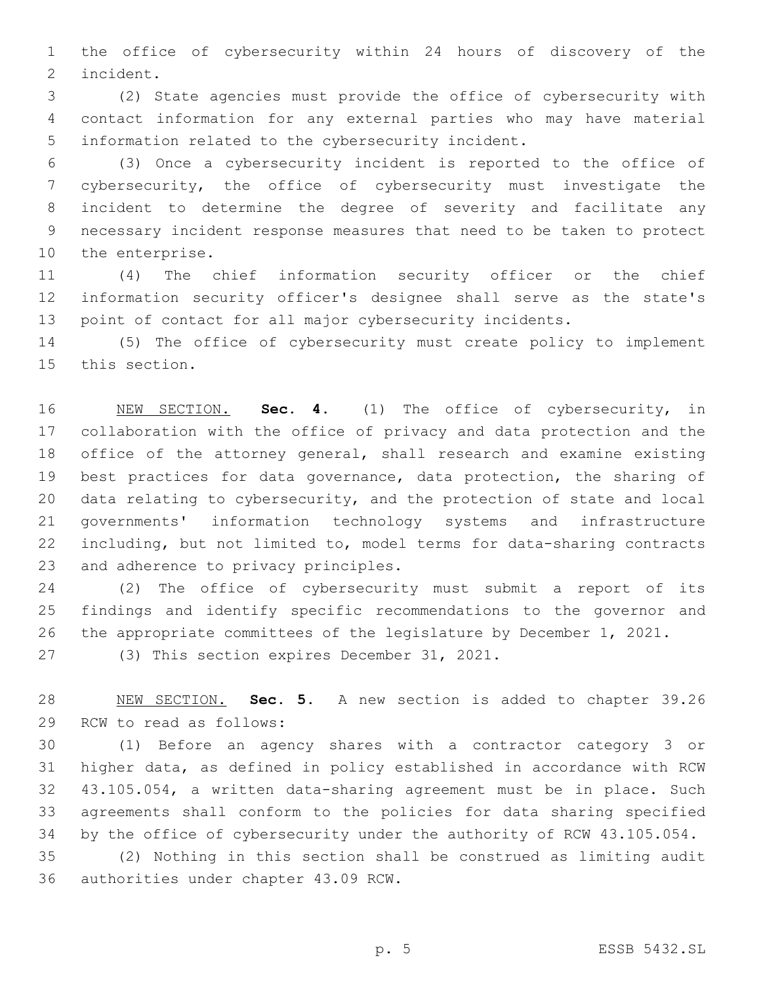the office of cybersecurity within 24 hours of discovery of the 2 incident.

 (2) State agencies must provide the office of cybersecurity with contact information for any external parties who may have material 5 information related to the cybersecurity incident.

 (3) Once a cybersecurity incident is reported to the office of cybersecurity, the office of cybersecurity must investigate the incident to determine the degree of severity and facilitate any necessary incident response measures that need to be taken to protect 10 the enterprise.

 (4) The chief information security officer or the chief information security officer's designee shall serve as the state's point of contact for all major cybersecurity incidents.

 (5) The office of cybersecurity must create policy to implement 15 this section.

 NEW SECTION. **Sec. 4.** (1) The office of cybersecurity, in collaboration with the office of privacy and data protection and the office of the attorney general, shall research and examine existing best practices for data governance, data protection, the sharing of data relating to cybersecurity, and the protection of state and local governments' information technology systems and infrastructure including, but not limited to, model terms for data-sharing contracts and adherence to privacy principles.

 (2) The office of cybersecurity must submit a report of its findings and identify specific recommendations to the governor and the appropriate committees of the legislature by December 1, 2021.

27 (3) This section expires December 31, 2021.

 NEW SECTION. **Sec. 5.** A new section is added to chapter 39.26 29 RCW to read as follows:

 (1) Before an agency shares with a contractor category 3 or higher data, as defined in policy established in accordance with RCW 43.105.054, a written data-sharing agreement must be in place. Such agreements shall conform to the policies for data sharing specified by the office of cybersecurity under the authority of RCW 43.105.054.

 (2) Nothing in this section shall be construed as limiting audit 36 authorities under chapter 43.09 RCW.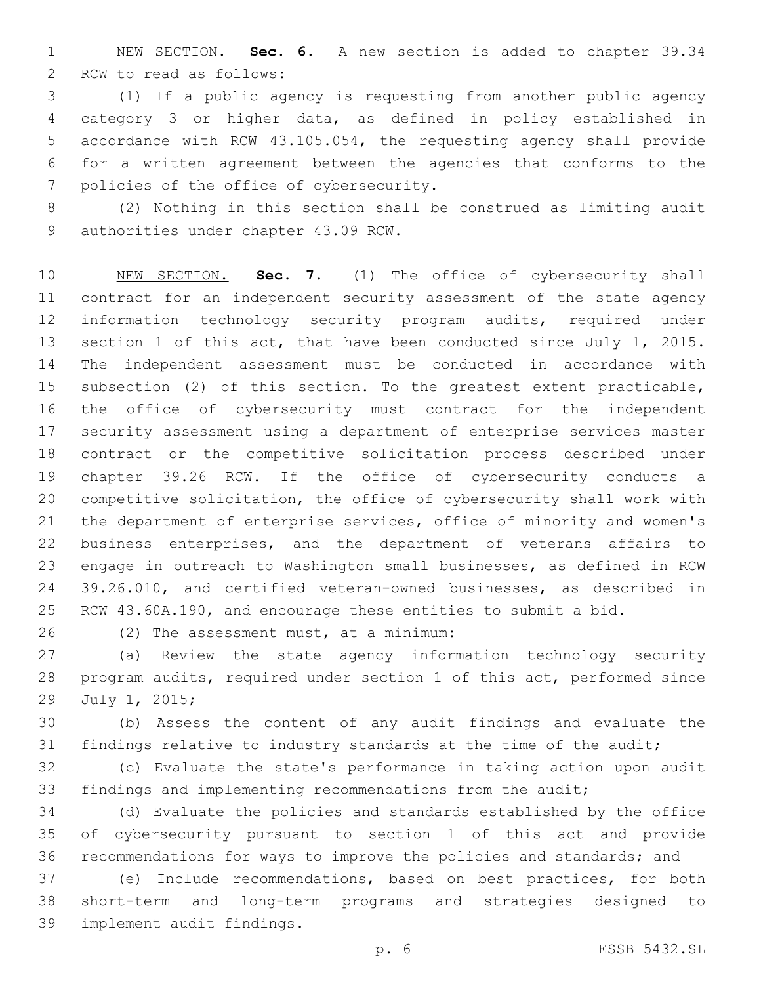NEW SECTION. **Sec. 6.** A new section is added to chapter 39.34 2 RCW to read as follows:

 (1) If a public agency is requesting from another public agency category 3 or higher data, as defined in policy established in accordance with RCW 43.105.054, the requesting agency shall provide for a written agreement between the agencies that conforms to the 7 policies of the office of cybersecurity.

 (2) Nothing in this section shall be construed as limiting audit 9 authorities under chapter 43.09 RCW.

 NEW SECTION. **Sec. 7.** (1) The office of cybersecurity shall contract for an independent security assessment of the state agency information technology security program audits, required under section 1 of this act, that have been conducted since July 1, 2015. The independent assessment must be conducted in accordance with subsection (2) of this section. To the greatest extent practicable, the office of cybersecurity must contract for the independent security assessment using a department of enterprise services master contract or the competitive solicitation process described under chapter 39.26 RCW. If the office of cybersecurity conducts a competitive solicitation, the office of cybersecurity shall work with the department of enterprise services, office of minority and women's business enterprises, and the department of veterans affairs to engage in outreach to Washington small businesses, as defined in RCW 39.26.010, and certified veteran-owned businesses, as described in RCW 43.60A.190, and encourage these entities to submit a bid.

(2) The assessment must, at a minimum:26

 (a) Review the state agency information technology security program audits, required under section 1 of this act, performed since 29 July 1, 2015;

 (b) Assess the content of any audit findings and evaluate the 31 findings relative to industry standards at the time of the audit;

 (c) Evaluate the state's performance in taking action upon audit findings and implementing recommendations from the audit;

 (d) Evaluate the policies and standards established by the office of cybersecurity pursuant to section 1 of this act and provide recommendations for ways to improve the policies and standards; and

 (e) Include recommendations, based on best practices, for both short-term and long-term programs and strategies designed to 39 implement audit findings.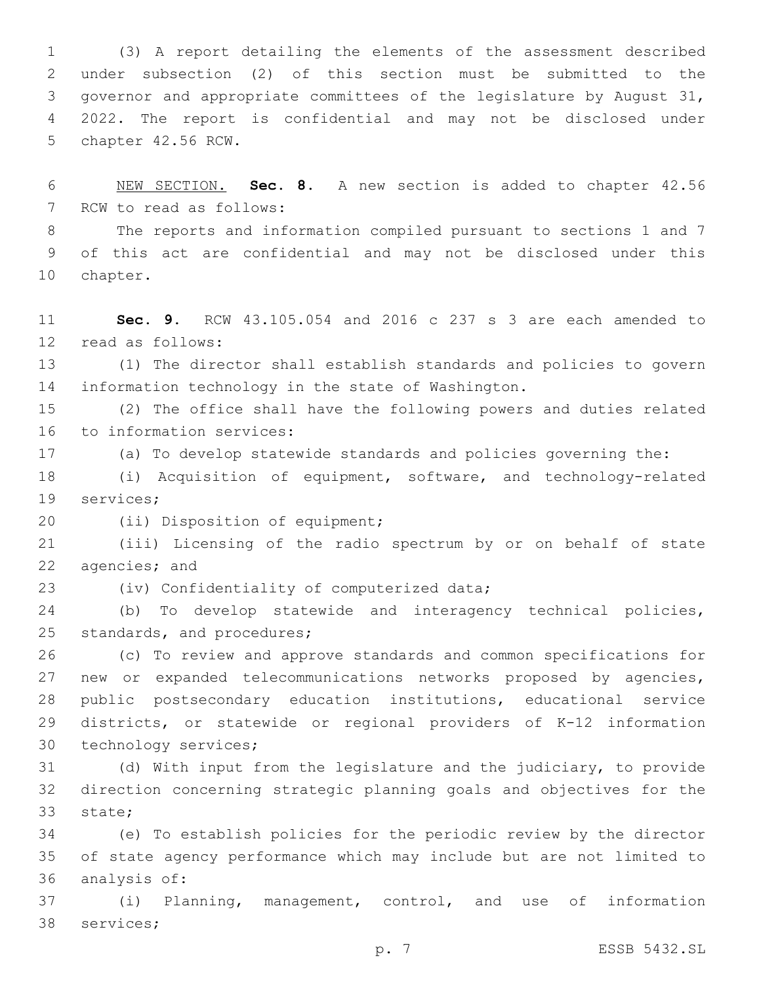(3) A report detailing the elements of the assessment described under subsection (2) of this section must be submitted to the governor and appropriate committees of the legislature by August 31, 2022. The report is confidential and may not be disclosed under 5 chapter 42.56 RCW.

 NEW SECTION. **Sec. 8.** A new section is added to chapter 42.56 7 RCW to read as follows:

 The reports and information compiled pursuant to sections 1 and 7 of this act are confidential and may not be disclosed under this 10 chapter.

 **Sec. 9.** RCW 43.105.054 and 2016 c 237 s 3 are each amended to 12 read as follows:

 (1) The director shall establish standards and policies to govern information technology in the state of Washington.

 (2) The office shall have the following powers and duties related 16 to information services:

(a) To develop statewide standards and policies governing the:

 (i) Acquisition of equipment, software, and technology-related 19 services;

20 (ii) Disposition of equipment;

 (iii) Licensing of the radio spectrum by or on behalf of state 22 agencies; and

23 (iv) Confidentiality of computerized data;

 (b) To develop statewide and interagency technical policies, 25 standards, and procedures;

 (c) To review and approve standards and common specifications for new or expanded telecommunications networks proposed by agencies, public postsecondary education institutions, educational service districts, or statewide or regional providers of K-12 information 30 technology services;

 (d) With input from the legislature and the judiciary, to provide direction concerning strategic planning goals and objectives for the 33 state;

 (e) To establish policies for the periodic review by the director of state agency performance which may include but are not limited to 36 analysis of:

 (i) Planning, management, control, and use of information 38 services;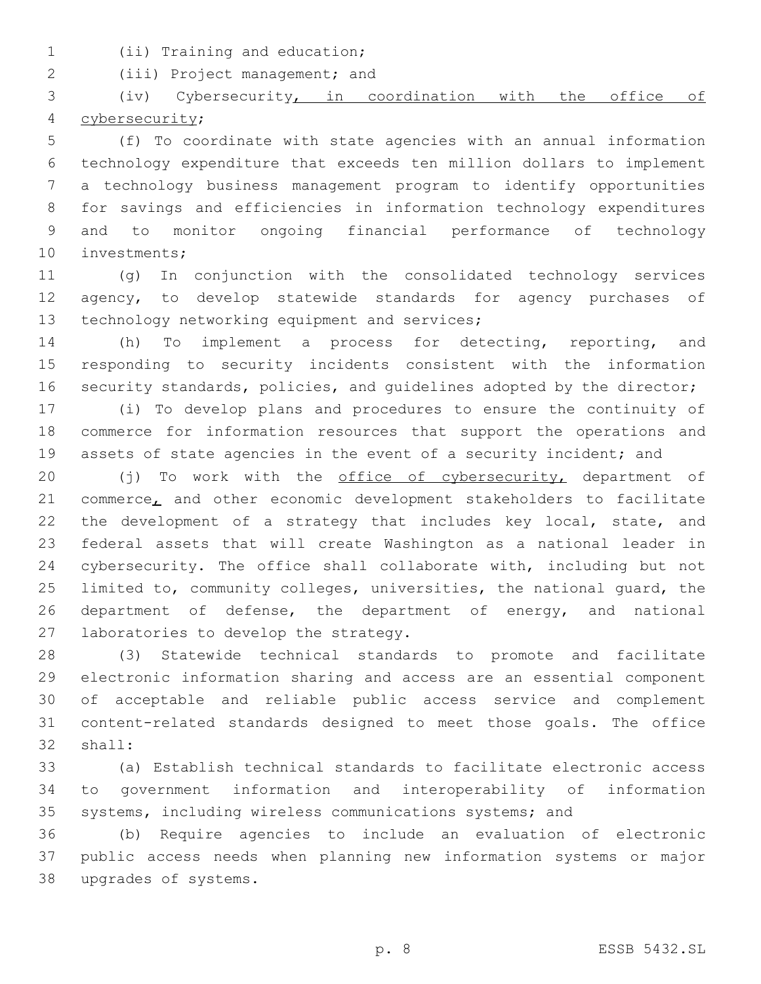- 
- 1 (ii) Training and education;

2 (iii) Project management; and

 (iv) Cybersecurity, in coordination with the office of cybersecurity;4

 (f) To coordinate with state agencies with an annual information technology expenditure that exceeds ten million dollars to implement a technology business management program to identify opportunities for savings and efficiencies in information technology expenditures and to monitor ongoing financial performance of technology 10 investments;

 (g) In conjunction with the consolidated technology services 12 agency, to develop statewide standards for agency purchases of 13 technology networking equipment and services;

 (h) To implement a process for detecting, reporting, and responding to security incidents consistent with the information 16 security standards, policies, and quidelines adopted by the director;

 (i) To develop plans and procedures to ensure the continuity of commerce for information resources that support the operations and assets of state agencies in the event of a security incident; and

20 (j) To work with the office of cybersecurity, department of 21 commerce, and other economic development stakeholders to facilitate 22 the development of a strategy that includes key local, state, and federal assets that will create Washington as a national leader in cybersecurity. The office shall collaborate with, including but not limited to, community colleges, universities, the national guard, the department of defense, the department of energy, and national 27 laboratories to develop the strategy.

 (3) Statewide technical standards to promote and facilitate electronic information sharing and access are an essential component of acceptable and reliable public access service and complement content-related standards designed to meet those goals. The office 32 shall:

 (a) Establish technical standards to facilitate electronic access to government information and interoperability of information systems, including wireless communications systems; and

 (b) Require agencies to include an evaluation of electronic public access needs when planning new information systems or major upgrades of systems.38